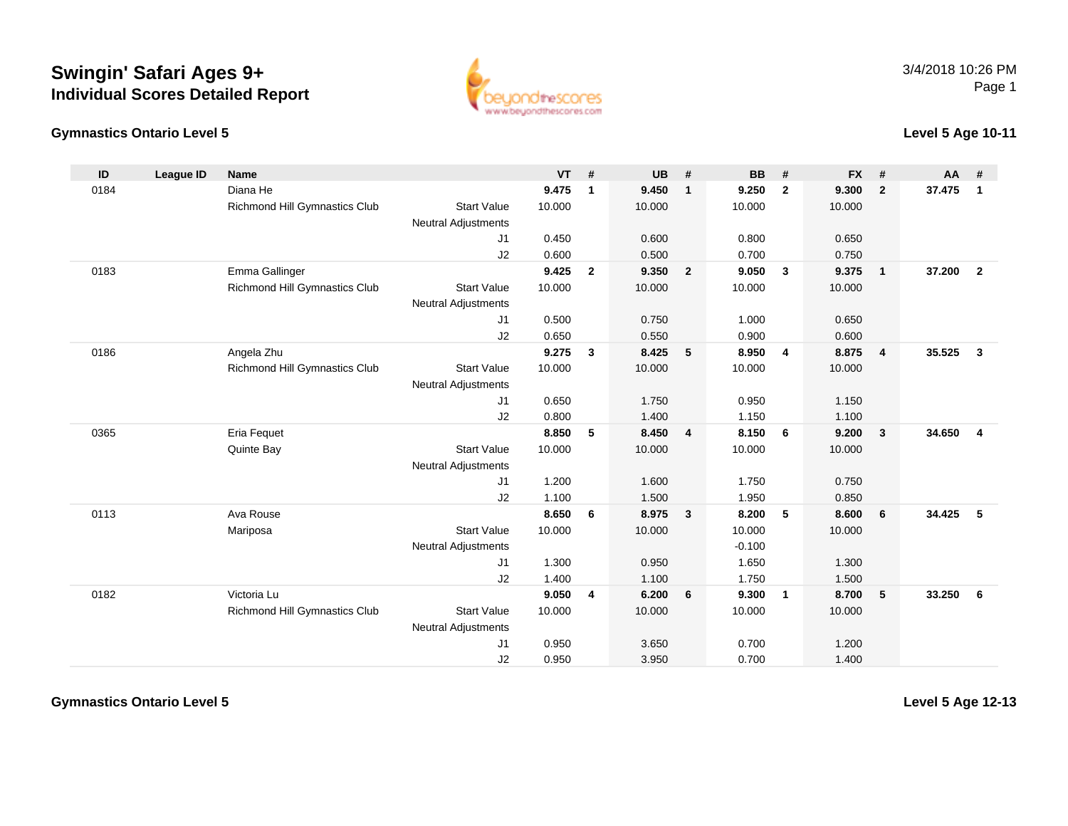#### **Gymnastics Ontario Level 5**

www.beuondthescores.com

#### **Level 5 Age 10-11**

| ID   | <b>League ID</b> | <b>Name</b>                   |                            | <b>VT</b> | #              | <b>UB</b> | #              | <b>BB</b> | #                        | <b>FX</b> | #              | AA     | #              |
|------|------------------|-------------------------------|----------------------------|-----------|----------------|-----------|----------------|-----------|--------------------------|-----------|----------------|--------|----------------|
| 0184 |                  | Diana He                      |                            | 9.475     | $\mathbf{1}$   | 9.450     | $\mathbf{1}$   | 9.250     | $\overline{2}$           | 9.300     | $\overline{2}$ | 37.475 | $\mathbf{1}$   |
|      |                  | Richmond Hill Gymnastics Club | <b>Start Value</b>         | 10.000    |                | 10.000    |                | 10.000    |                          | 10.000    |                |        |                |
|      |                  |                               | <b>Neutral Adjustments</b> |           |                |           |                |           |                          |           |                |        |                |
|      |                  |                               | J1                         | 0.450     |                | 0.600     |                | 0.800     |                          | 0.650     |                |        |                |
|      |                  |                               | J2                         | 0.600     |                | 0.500     |                | 0.700     |                          | 0.750     |                |        |                |
| 0183 |                  | Emma Gallinger                |                            | 9.425     | $\overline{2}$ | 9.350     | $\overline{2}$ | 9.050     | $\overline{\mathbf{3}}$  | 9.375     | $\overline{1}$ | 37.200 | $\overline{2}$ |
|      |                  | Richmond Hill Gymnastics Club | <b>Start Value</b>         | 10.000    |                | 10.000    |                | 10.000    |                          | 10.000    |                |        |                |
|      |                  |                               | <b>Neutral Adjustments</b> |           |                |           |                |           |                          |           |                |        |                |
|      |                  |                               | J1                         | 0.500     |                | 0.750     |                | 1.000     |                          | 0.650     |                |        |                |
|      |                  |                               | J2                         | 0.650     |                | 0.550     |                | 0.900     |                          | 0.600     |                |        |                |
| 0186 |                  | Angela Zhu                    |                            | 9.275     | $\mathbf{3}$   | 8.425     | 5              | 8.950     | $\overline{4}$           | 8.875     | $\overline{4}$ | 35.525 | $\mathbf{3}$   |
|      |                  | Richmond Hill Gymnastics Club | <b>Start Value</b>         | 10.000    |                | 10.000    |                | 10.000    |                          | 10.000    |                |        |                |
|      |                  |                               | <b>Neutral Adjustments</b> |           |                |           |                |           |                          |           |                |        |                |
|      |                  |                               | J1                         | 0.650     |                | 1.750     |                | 0.950     |                          | 1.150     |                |        |                |
|      |                  |                               | J2                         | 0.800     |                | 1.400     |                | 1.150     |                          | 1.100     |                |        |                |
| 0365 |                  | <b>Eria Fequet</b>            |                            | 8.850     | 5              | 8.450     | $\overline{4}$ | 8.150     | 6                        | 9.200     | $\mathbf{3}$   | 34.650 | $\overline{4}$ |
|      |                  | Quinte Bay                    | <b>Start Value</b>         | 10.000    |                | 10.000    |                | 10.000    |                          | 10.000    |                |        |                |
|      |                  |                               | <b>Neutral Adjustments</b> |           |                |           |                |           |                          |           |                |        |                |
|      |                  |                               | J1                         | 1.200     |                | 1.600     |                | 1.750     |                          | 0.750     |                |        |                |
|      |                  |                               | J2                         | 1.100     |                | 1.500     |                | 1.950     |                          | 0.850     |                |        |                |
| 0113 |                  | Ava Rouse                     |                            | 8.650     | 6              | 8.975     | $\mathbf{3}$   | 8.200     | 5                        | 8.600     | 6              | 34.425 | 5              |
|      |                  | Mariposa                      | <b>Start Value</b>         | 10.000    |                | 10.000    |                | 10.000    |                          | 10.000    |                |        |                |
|      |                  |                               | <b>Neutral Adjustments</b> |           |                |           |                | $-0.100$  |                          |           |                |        |                |
|      |                  |                               | J1                         | 1.300     |                | 0.950     |                | 1.650     |                          | 1.300     |                |        |                |
|      |                  |                               | J2                         | 1.400     |                | 1.100     |                | 1.750     |                          | 1.500     |                |        |                |
| 0182 |                  | Victoria Lu                   |                            | 9.050     | 4              | 6.200     | 6              | 9.300     | $\overline{\phantom{0}}$ | 8.700     | 5              | 33.250 | 6              |
|      |                  | Richmond Hill Gymnastics Club | <b>Start Value</b>         | 10.000    |                | 10.000    |                | 10.000    |                          | 10.000    |                |        |                |
|      |                  |                               | <b>Neutral Adjustments</b> |           |                |           |                |           |                          |           |                |        |                |
|      |                  |                               | J1                         | 0.950     |                | 3.650     |                | 0.700     |                          | 1.200     |                |        |                |
|      |                  |                               | J2                         | 0.950     |                | 3.950     |                | 0.700     |                          | 1.400     |                |        |                |

**Gymnastics Ontario Level 5**

**Level 5 Age 12-13**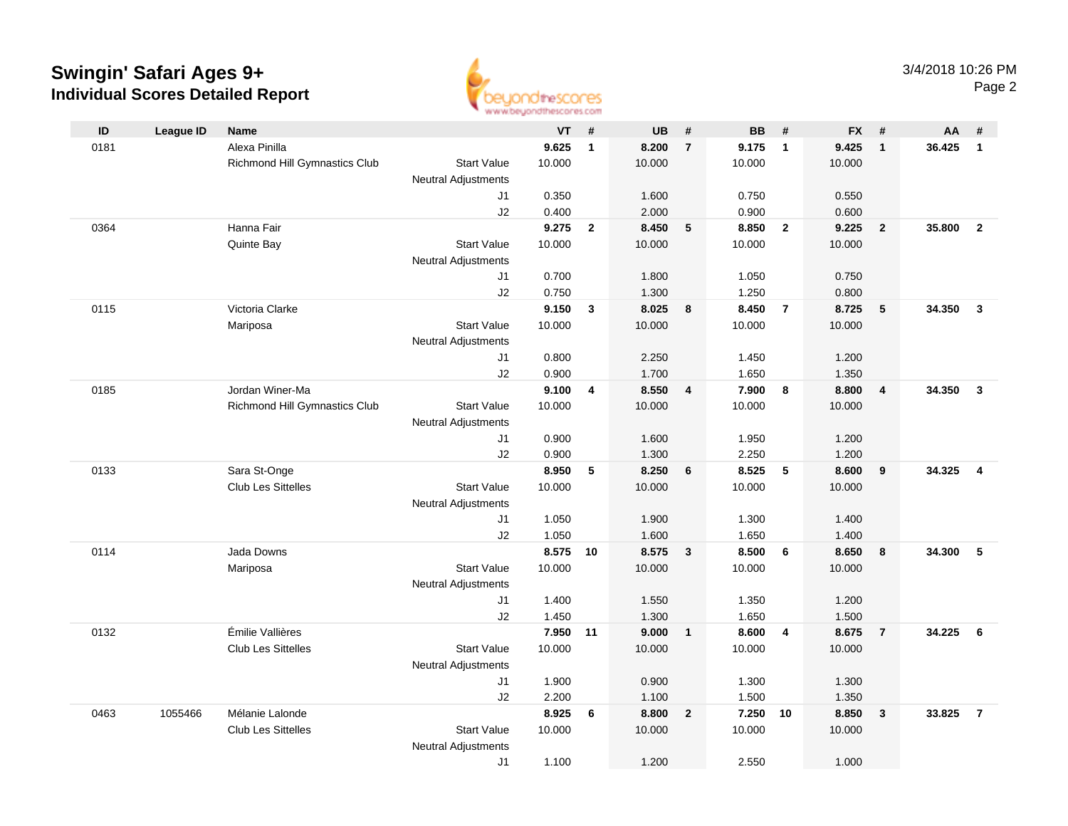

| ID   | <b>League ID</b> | Name                          |                            | <b>VT</b> | #              | <b>UB</b> | #              | <b>BB</b> | #              | <b>FX</b> | #                       | AA     | #              |
|------|------------------|-------------------------------|----------------------------|-----------|----------------|-----------|----------------|-----------|----------------|-----------|-------------------------|--------|----------------|
| 0181 |                  | Alexa Pinilla                 |                            | 9.625     | $\mathbf{1}$   | 8.200     | $\overline{7}$ | 9.175     | $\overline{1}$ | 9.425     | $\overline{1}$          | 36.425 | $\mathbf{1}$   |
|      |                  | Richmond Hill Gymnastics Club | <b>Start Value</b>         | 10.000    |                | 10.000    |                | 10.000    |                | 10.000    |                         |        |                |
|      |                  |                               | <b>Neutral Adjustments</b> |           |                |           |                |           |                |           |                         |        |                |
|      |                  |                               | J1                         | 0.350     |                | 1.600     |                | 0.750     |                | 0.550     |                         |        |                |
|      |                  |                               | J2                         | 0.400     |                | 2.000     |                | 0.900     |                | 0.600     |                         |        |                |
| 0364 |                  | Hanna Fair                    |                            | 9.275     | $\overline{2}$ | 8.450     | 5              | 8.850     | $\overline{2}$ | 9.225     | $\overline{2}$          | 35,800 | $\overline{2}$ |
|      |                  | Quinte Bay                    | <b>Start Value</b>         | 10.000    |                | 10.000    |                | 10.000    |                | 10.000    |                         |        |                |
|      |                  |                               | <b>Neutral Adjustments</b> |           |                |           |                |           |                |           |                         |        |                |
|      |                  |                               | J1                         | 0.700     |                | 1.800     |                | 1.050     |                | 0.750     |                         |        |                |
|      |                  |                               | J2                         | 0.750     |                | 1.300     |                | 1.250     |                | 0.800     |                         |        |                |
| 0115 |                  | Victoria Clarke               |                            | 9.150     | 3              | 8.025     | 8              | 8.450     | $\overline{7}$ | 8.725     | 5                       | 34.350 | $\mathbf{3}$   |
|      |                  | Mariposa                      | <b>Start Value</b>         | 10.000    |                | 10.000    |                | 10.000    |                | 10.000    |                         |        |                |
|      |                  |                               | <b>Neutral Adjustments</b> |           |                |           |                |           |                |           |                         |        |                |
|      |                  |                               | J1                         | 0.800     |                | 2.250     |                | 1.450     |                | 1.200     |                         |        |                |
|      |                  |                               | J2                         | 0.900     |                | 1.700     |                | 1.650     |                | 1.350     |                         |        |                |
| 0185 |                  | Jordan Winer-Ma               |                            | 9.100     | 4              | 8.550     | $\overline{4}$ | 7.900     | 8              | 8.800     | $\overline{\mathbf{4}}$ | 34.350 | $\mathbf{3}$   |
|      |                  | Richmond Hill Gymnastics Club | <b>Start Value</b>         | 10.000    |                | 10.000    |                | 10.000    |                | 10.000    |                         |        |                |
|      |                  |                               | <b>Neutral Adjustments</b> |           |                |           |                |           |                |           |                         |        |                |
|      |                  |                               | J1                         | 0.900     |                | 1.600     |                | 1.950     |                | 1.200     |                         |        |                |
|      |                  |                               | J2                         | 0.900     |                | 1.300     |                | 2.250     |                | 1.200     |                         |        |                |
| 0133 |                  | Sara St-Onge                  |                            | 8.950     | 5              | 8.250     | 6              | 8.525     | 5              | 8.600     | 9                       | 34.325 | $\overline{4}$ |
|      |                  | <b>Club Les Sittelles</b>     | <b>Start Value</b>         | 10.000    |                | 10.000    |                | 10.000    |                | 10.000    |                         |        |                |
|      |                  |                               | Neutral Adjustments        | 1.050     |                | 1.900     |                | 1.300     |                | 1.400     |                         |        |                |
|      |                  |                               | J1<br>J2                   | 1.050     |                | 1.600     |                | 1.650     |                | 1.400     |                         |        |                |
| 0114 |                  | Jada Downs                    |                            | 8.575     | 10             | 8.575     | $\mathbf{3}$   | 8.500     | 6              | 8.650     | 8                       | 34.300 | 5              |
|      |                  | Mariposa                      | <b>Start Value</b>         | 10.000    |                | 10.000    |                | 10.000    |                | 10.000    |                         |        |                |
|      |                  |                               | <b>Neutral Adjustments</b> |           |                |           |                |           |                |           |                         |        |                |
|      |                  |                               | J1                         | 1.400     |                | 1.550     |                | 1.350     |                | 1.200     |                         |        |                |
|      |                  |                               | J2                         | 1.450     |                | 1.300     |                | 1.650     |                | 1.500     |                         |        |                |
| 0132 |                  | Émilie Vallières              |                            | 7.950     | 11             | 9.000     | $\overline{1}$ | 8.600     | $\overline{4}$ | 8.675     | $\overline{7}$          | 34.225 | 6              |
|      |                  | <b>Club Les Sittelles</b>     | <b>Start Value</b>         | 10.000    |                | 10.000    |                | 10.000    |                | 10.000    |                         |        |                |
|      |                  |                               | <b>Neutral Adjustments</b> |           |                |           |                |           |                |           |                         |        |                |
|      |                  |                               | J1                         | 1.900     |                | 0.900     |                | 1.300     |                | 1.300     |                         |        |                |
|      |                  |                               | J2                         | 2.200     |                | 1.100     |                | 1.500     |                | 1.350     |                         |        |                |
| 0463 | 1055466          | Mélanie Lalonde               |                            | 8.925     | 6              | 8.800     | $\overline{2}$ | 7.250     | 10             | 8.850     | $\mathbf{3}$            | 33.825 | $\overline{7}$ |
|      |                  | <b>Club Les Sittelles</b>     | <b>Start Value</b>         | 10.000    |                | 10.000    |                | 10.000    |                | 10.000    |                         |        |                |
|      |                  |                               | <b>Neutral Adjustments</b> |           |                |           |                |           |                |           |                         |        |                |
|      |                  |                               | J1                         | 1.100     |                | 1.200     |                | 2.550     |                | 1.000     |                         |        |                |
|      |                  |                               |                            |           |                |           |                |           |                |           |                         |        |                |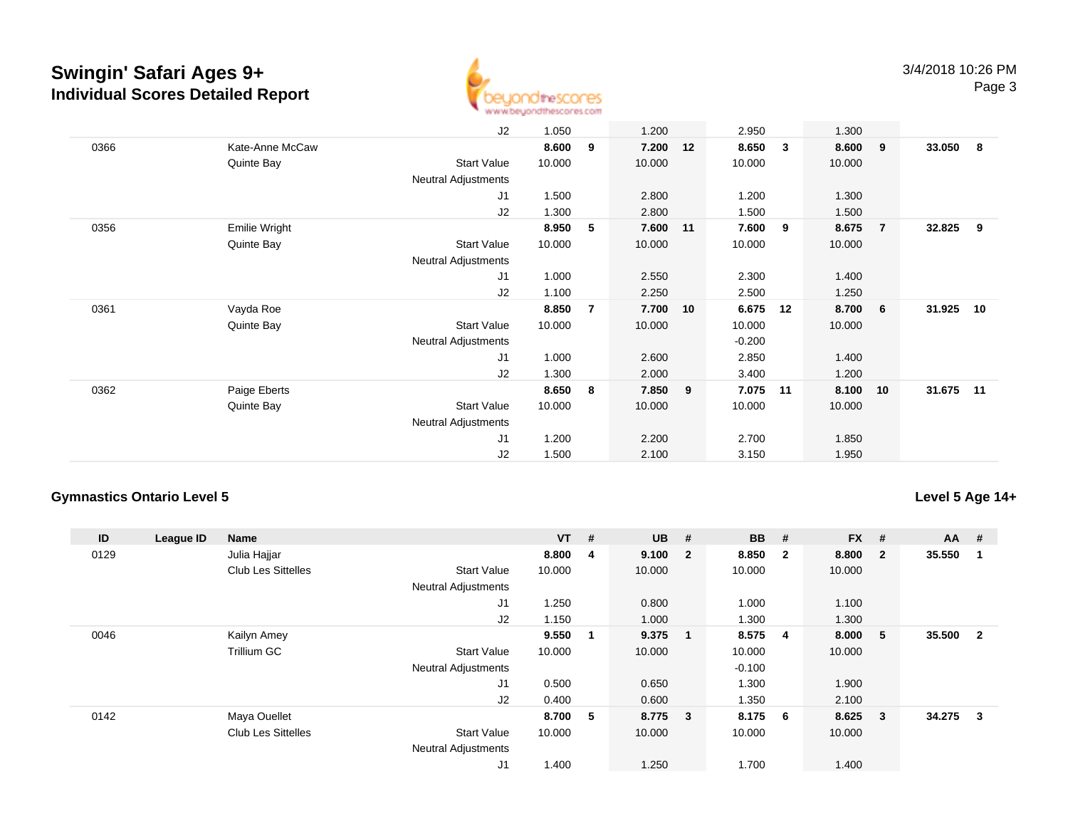

|      |                 | J2                         | 1.050  |                | 1.200    |    | 2.950    |              | 1.300  |                |        |     |
|------|-----------------|----------------------------|--------|----------------|----------|----|----------|--------------|--------|----------------|--------|-----|
| 0366 | Kate-Anne McCaw |                            | 8.600  | 9              | 7.200    | 12 | 8.650    | $\mathbf{3}$ | 8.600  | - 9            | 33.050 | - 8 |
|      | Quinte Bay      | Start Value                | 10.000 |                | 10.000   |    | 10.000   |              | 10.000 |                |        |     |
|      |                 | Neutral Adjustments        |        |                |          |    |          |              |        |                |        |     |
|      |                 | J1                         | 1.500  |                | 2.800    |    | 1.200    |              | 1.300  |                |        |     |
|      |                 | J2                         | 1.300  |                | 2.800    |    | 1.500    |              | 1.500  |                |        |     |
| 0356 | Emilie Wright   |                            | 8.950  | 5              | 7.600 11 |    | 7.600    | - 9          | 8.675  | $\overline{7}$ | 32.825 | 9   |
|      | Quinte Bay      | <b>Start Value</b>         | 10.000 |                | 10.000   |    | 10.000   |              | 10.000 |                |        |     |
|      |                 | <b>Neutral Adjustments</b> |        |                |          |    |          |              |        |                |        |     |
|      |                 | J <sub>1</sub>             | 1.000  |                | 2.550    |    | 2.300    |              | 1.400  |                |        |     |
|      |                 | J2                         | 1.100  |                | 2.250    |    | 2.500    |              | 1.250  |                |        |     |
| 0361 | Vayda Roe       |                            | 8.850  | $\overline{7}$ | 7.700    | 10 | 6.675    | 12           | 8.700  | 6              | 31.925 | 10  |
|      | Quinte Bay      | <b>Start Value</b>         | 10.000 |                | 10.000   |    | 10.000   |              | 10.000 |                |        |     |
|      |                 | <b>Neutral Adjustments</b> |        |                |          |    | $-0.200$ |              |        |                |        |     |
|      |                 | J1                         | 1.000  |                | 2.600    |    | 2.850    |              | 1.400  |                |        |     |
|      |                 | J2                         | 1.300  |                | 2.000    |    | 3.400    |              | 1.200  |                |        |     |
| 0362 | Paige Eberts    |                            | 8.650  | 8              | 7.850    | 9  | 7.075    | 11           | 8.100  | 10             | 31.675 | 11  |
|      | Quinte Bay      | <b>Start Value</b>         | 10.000 |                | 10.000   |    | 10.000   |              | 10.000 |                |        |     |
|      |                 | Neutral Adjustments        |        |                |          |    |          |              |        |                |        |     |
|      |                 | J <sub>1</sub>             | 1.200  |                | 2.200    |    | 2.700    |              | 1.850  |                |        |     |
|      |                 | J2                         | 1.500  |                | 2.100    |    | 3.150    |              | 1.950  |                |        |     |

#### **Gymnastics Ontario Level 5**

### **Level 5 Age 14+**

| ID   | League ID | <b>Name</b>               |                            | $VT$ # |             | <b>UB</b> | #                       | <b>BB</b> | #                       | <b>FX</b> | #            | $AA$ # |                |
|------|-----------|---------------------------|----------------------------|--------|-------------|-----------|-------------------------|-----------|-------------------------|-----------|--------------|--------|----------------|
| 0129 |           | Julia Hajjar              |                            | 8.800  | 4           | 9.100     | $\overline{\mathbf{2}}$ | 8.850     | $\overline{\mathbf{2}}$ | 8.800     | $\mathbf{2}$ | 35.550 |                |
|      |           | <b>Club Les Sittelles</b> | <b>Start Value</b>         | 10.000 |             | 10.000    |                         | 10.000    |                         | 10.000    |              |        |                |
|      |           |                           | <b>Neutral Adjustments</b> |        |             |           |                         |           |                         |           |              |        |                |
|      |           |                           | J1                         | 1.250  |             | 0.800     |                         | 1.000     |                         | 1.100     |              |        |                |
|      |           |                           | J2                         | 1.150  |             | 1.000     |                         | 1.300     |                         | 1.300     |              |        |                |
| 0046 |           | Kailyn Amey               |                            | 9.550  | $\mathbf 1$ | 9.375     |                         | 8.575     | -4                      | 8.000     | 5            | 35.500 | $\overline{2}$ |
|      |           | Trillium GC               | <b>Start Value</b>         | 10.000 |             | 10.000    |                         | 10.000    |                         | 10.000    |              |        |                |
|      |           |                           | <b>Neutral Adjustments</b> |        |             |           |                         | $-0.100$  |                         |           |              |        |                |
|      |           |                           | J1                         | 0.500  |             | 0.650     |                         | 1.300     |                         | 1.900     |              |        |                |
|      |           |                           | J2                         | 0.400  |             | 0.600     |                         | 1.350     |                         | 2.100     |              |        |                |
| 0142 |           | Maya Ouellet              |                            | 8.700  | 5           | 8.775 3   |                         | 8.175     | 6                       | 8.625     | -3           | 34.275 | 3              |
|      |           | <b>Club Les Sittelles</b> | <b>Start Value</b>         | 10.000 |             | 10.000    |                         | 10.000    |                         | 10.000    |              |        |                |
|      |           |                           | <b>Neutral Adjustments</b> |        |             |           |                         |           |                         |           |              |        |                |
|      |           |                           | J1                         | 1.400  |             | 1.250     |                         | 1.700     |                         | 1.400     |              |        |                |